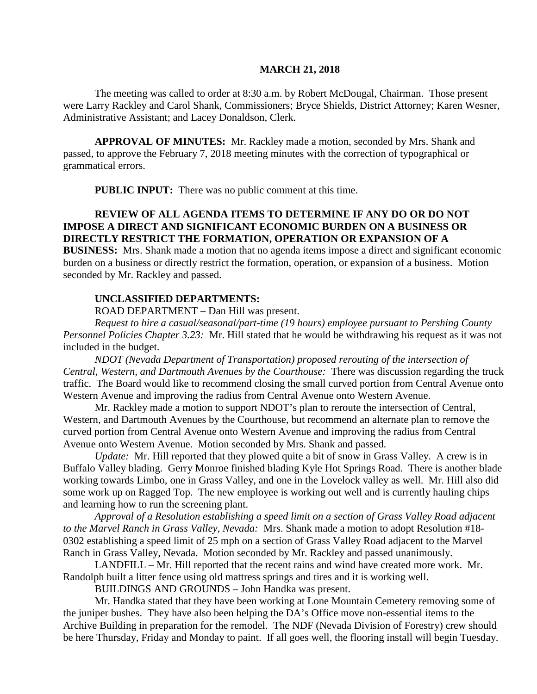#### **MARCH 21, 2018**

The meeting was called to order at 8:30 a.m. by Robert McDougal, Chairman. Those present were Larry Rackley and Carol Shank, Commissioners; Bryce Shields, District Attorney; Karen Wesner, Administrative Assistant; and Lacey Donaldson, Clerk.

**APPROVAL OF MINUTES:** Mr. Rackley made a motion, seconded by Mrs. Shank and passed, to approve the February 7, 2018 meeting minutes with the correction of typographical or grammatical errors.

**PUBLIC INPUT:** There was no public comment at this time.

## **REVIEW OF ALL AGENDA ITEMS TO DETERMINE IF ANY DO OR DO NOT IMPOSE A DIRECT AND SIGNIFICANT ECONOMIC BURDEN ON A BUSINESS OR DIRECTLY RESTRICT THE FORMATION, OPERATION OR EXPANSION OF A**

**BUSINESS:** Mrs. Shank made a motion that no agenda items impose a direct and significant economic burden on a business or directly restrict the formation, operation, or expansion of a business. Motion seconded by Mr. Rackley and passed.

### **UNCLASSIFIED DEPARTMENTS:**

ROAD DEPARTMENT – Dan Hill was present.

*Request to hire a casual/seasonal/part-time (19 hours) employee pursuant to Pershing County Personnel Policies Chapter 3.23:* Mr. Hill stated that he would be withdrawing his request as it was not included in the budget.

*NDOT (Nevada Department of Transportation) proposed rerouting of the intersection of Central, Western, and Dartmouth Avenues by the Courthouse:* There was discussion regarding the truck traffic. The Board would like to recommend closing the small curved portion from Central Avenue onto Western Avenue and improving the radius from Central Avenue onto Western Avenue.

Mr. Rackley made a motion to support NDOT's plan to reroute the intersection of Central, Western, and Dartmouth Avenues by the Courthouse, but recommend an alternate plan to remove the curved portion from Central Avenue onto Western Avenue and improving the radius from Central Avenue onto Western Avenue. Motion seconded by Mrs. Shank and passed.

*Update:* Mr. Hill reported that they plowed quite a bit of snow in Grass Valley. A crew is in Buffalo Valley blading. Gerry Monroe finished blading Kyle Hot Springs Road. There is another blade working towards Limbo, one in Grass Valley, and one in the Lovelock valley as well. Mr. Hill also did some work up on Ragged Top. The new employee is working out well and is currently hauling chips and learning how to run the screening plant.

*Approval of a Resolution establishing a speed limit on a section of Grass Valley Road adjacent to the Marvel Ranch in Grass Valley, Nevada:* Mrs. Shank made a motion to adopt Resolution #18- 0302 establishing a speed limit of 25 mph on a section of Grass Valley Road adjacent to the Marvel Ranch in Grass Valley, Nevada. Motion seconded by Mr. Rackley and passed unanimously.

LANDFILL – Mr. Hill reported that the recent rains and wind have created more work. Mr. Randolph built a litter fence using old mattress springs and tires and it is working well.

BUILDINGS AND GROUNDS – John Handka was present.

Mr. Handka stated that they have been working at Lone Mountain Cemetery removing some of the juniper bushes. They have also been helping the DA's Office move non-essential items to the Archive Building in preparation for the remodel. The NDF (Nevada Division of Forestry) crew should be here Thursday, Friday and Monday to paint. If all goes well, the flooring install will begin Tuesday.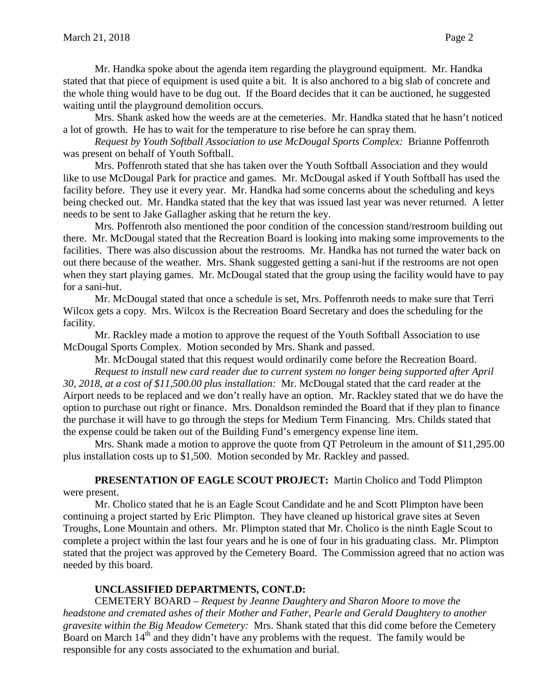Mr. Handka spoke about the agenda item regarding the playground equipment. Mr. Handka stated that that piece of equipment is used quite a bit. It is also anchored to a big slab of concrete and the whole thing would have to be dug out. If the Board decides that it can be auctioned, he suggested waiting until the playground demolition occurs.

Mrs. Shank asked how the weeds are at the cemeteries. Mr. Handka stated that he hasn't noticed a lot of growth. He has to wait for the temperature to rise before he can spray them.

*Request by Youth Softball Association to use McDougal Sports Complex:* Brianne Poffenroth was present on behalf of Youth Softball.

Mrs. Poffenroth stated that she has taken over the Youth Softball Association and they would like to use McDougal Park for practice and games. Mr. McDougal asked if Youth Softball has used the facility before. They use it every year. Mr. Handka had some concerns about the scheduling and keys being checked out. Mr. Handka stated that the key that was issued last year was never returned. A letter needs to be sent to Jake Gallagher asking that he return the key.

Mrs. Poffenroth also mentioned the poor condition of the concession stand/restroom building out there. Mr. McDougal stated that the Recreation Board is looking into making some improvements to the facilities. There was also discussion about the restrooms. Mr. Handka has not turned the water back on out there because of the weather. Mrs. Shank suggested getting a sani-hut if the restrooms are not open when they start playing games. Mr. McDougal stated that the group using the facility would have to pay for a sani-hut.

Mr. McDougal stated that once a schedule is set, Mrs. Poffenroth needs to make sure that Terri Wilcox gets a copy. Mrs. Wilcox is the Recreation Board Secretary and does the scheduling for the facility.

Mr. Rackley made a motion to approve the request of the Youth Softball Association to use McDougal Sports Complex. Motion seconded by Mrs. Shank and passed.

Mr. McDougal stated that this request would ordinarily come before the Recreation Board. *Request to install new card reader due to current system no longer being supported after April 30, 2018, at a cost of \$11,500.00 plus installation:* Mr. McDougal stated that the card reader at the Airport needs to be replaced and we don't really have an option. Mr. Rackley stated that we do have the option to purchase out right or finance. Mrs. Donaldson reminded the Board that if they plan to finance the purchase it will have to go through the steps for Medium Term Financing. Mrs. Childs stated that the expense could be taken out of the Building Fund's emergency expense line item.

Mrs. Shank made a motion to approve the quote from QT Petroleum in the amount of \$11,295.00 plus installation costs up to \$1,500. Motion seconded by Mr. Rackley and passed.

**PRESENTATION OF EAGLE SCOUT PROJECT:** Martin Cholico and Todd Plimpton were present.

Mr. Cholico stated that he is an Eagle Scout Candidate and he and Scott Plimpton have been continuing a project started by Eric Plimpton. They have cleaned up historical grave sites at Seven Troughs, Lone Mountain and others. Mr. Plimpton stated that Mr. Cholico is the ninth Eagle Scout to complete a project within the last four years and he is one of four in his graduating class. Mr. Plimpton stated that the project was approved by the Cemetery Board. The Commission agreed that no action was needed by this board.

# **UNCLASSIFIED DEPARTMENTS, CONT.D:**

CEMETERY BOARD – *Request by Jeanne Daughtery and Sharon Moore to move the headstone and cremated ashes of their Mother and Father, Pearle and Gerald Daughtery to another gravesite within the Big Meadow Cemetery:* Mrs. Shank stated that this did come before the Cemetery Board on March 14<sup>th</sup> and they didn't have any problems with the request. The family would be responsible for any costs associated to the exhumation and burial.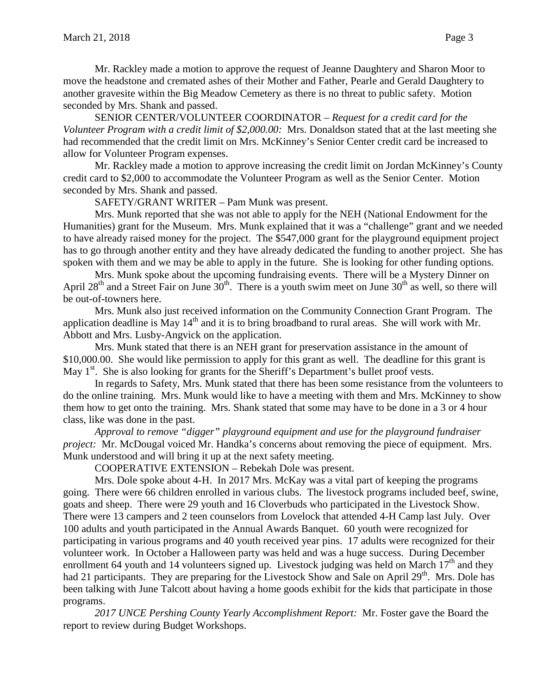Mr. Rackley made a motion to approve the request of Jeanne Daughtery and Sharon Moor to move the headstone and cremated ashes of their Mother and Father, Pearle and Gerald Daughtery to another gravesite within the Big Meadow Cemetery as there is no threat to public safety. Motion seconded by Mrs. Shank and passed.

SENIOR CENTER/VOLUNTEER COORDINATOR – *Request for a credit card for the Volunteer Program with a credit limit of \$2,000.00:* Mrs. Donaldson stated that at the last meeting she had recommended that the credit limit on Mrs. McKinney's Senior Center credit card be increased to allow for Volunteer Program expenses.

Mr. Rackley made a motion to approve increasing the credit limit on Jordan McKinney's County credit card to \$2,000 to accommodate the Volunteer Program as well as the Senior Center. Motion seconded by Mrs. Shank and passed.

SAFETY/GRANT WRITER – Pam Munk was present.

Mrs. Munk reported that she was not able to apply for the NEH (National Endowment for the Humanities) grant for the Museum. Mrs. Munk explained that it was a "challenge" grant and we needed to have already raised money for the project. The \$547,000 grant for the playground equipment project has to go through another entity and they have already dedicated the funding to another project. She has spoken with them and we may be able to apply in the future. She is looking for other funding options.

Mrs. Munk spoke about the upcoming fundraising events. There will be a Mystery Dinner on April 28<sup>th</sup> and a Street Fair on June  $30<sup>th</sup>$ . There is a youth swim meet on June  $30<sup>th</sup>$  as well, so there will be out-of-towners here.

Mrs. Munk also just received information on the Community Connection Grant Program. The application deadline is May  $14<sup>th</sup>$  and it is to bring broadband to rural areas. She will work with Mr. Abbott and Mrs. Lusby-Angvick on the application.

Mrs. Munk stated that there is an NEH grant for preservation assistance in the amount of \$10,000.00. She would like permission to apply for this grant as well. The deadline for this grant is May  $1<sup>st</sup>$ . She is also looking for grants for the Sheriff's Department's bullet proof vests.

In regards to Safety, Mrs. Munk stated that there has been some resistance from the volunteers to do the online training. Mrs. Munk would like to have a meeting with them and Mrs. McKinney to show them how to get onto the training. Mrs. Shank stated that some may have to be done in a 3 or 4 hour class, like was done in the past.

*Approval to remove "digger" playground equipment and use for the playground fundraiser project:* Mr. McDougal voiced Mr. Handka's concerns about removing the piece of equipment. Mrs. Munk understood and will bring it up at the next safety meeting.

COOPERATIVE EXTENSION – Rebekah Dole was present.

Mrs. Dole spoke about 4-H. In 2017 Mrs. McKay was a vital part of keeping the programs going. There were 66 children enrolled in various clubs. The livestock programs included beef, swine, goats and sheep. There were 29 youth and 16 Cloverbuds who participated in the Livestock Show. There were 13 campers and 2 teen counselors from Lovelock that attended 4-H Camp last July. Over 100 adults and youth participated in the Annual Awards Banquet. 60 youth were recognized for participating in various programs and 40 youth received year pins. 17 adults were recognized for their volunteer work. In October a Halloween party was held and was a huge success. During December enrollment 64 youth and 14 volunteers signed up. Livestock judging was held on March  $17<sup>th</sup>$  and they had 21 participants. They are preparing for the Livestock Show and Sale on April 29<sup>th</sup>. Mrs. Dole has been talking with June Talcott about having a home goods exhibit for the kids that participate in those programs.

*2017 UNCE Pershing County Yearly Accomplishment Report:* Mr. Foster gave the Board the report to review during Budget Workshops.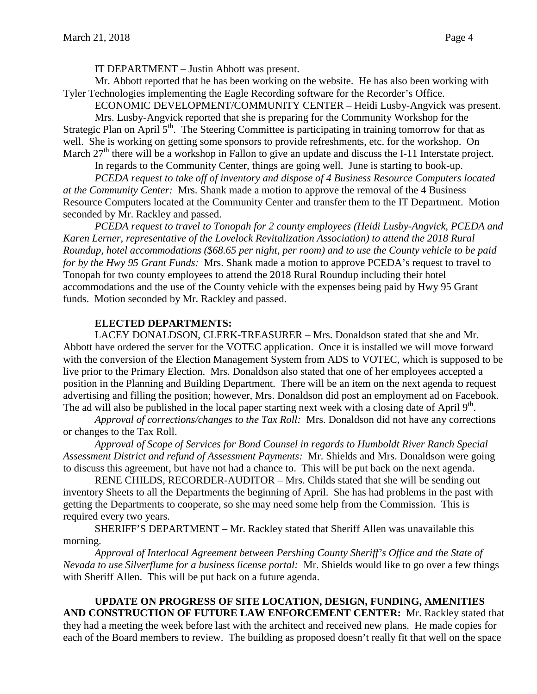IT DEPARTMENT – Justin Abbott was present.

Mr. Abbott reported that he has been working on the website. He has also been working with Tyler Technologies implementing the Eagle Recording software for the Recorder's Office.

ECONOMIC DEVELOPMENT/COMMUNITY CENTER – Heidi Lusby-Angvick was present. Mrs. Lusby-Angvick reported that she is preparing for the Community Workshop for the Strategic Plan on April  $5<sup>th</sup>$ . The Steering Committee is participating in training tomorrow for that as well. She is working on getting some sponsors to provide refreshments, etc. for the workshop. On March 27<sup>th</sup> there will be a workshop in Fallon to give an update and discuss the I-11 Interstate project.

In regards to the Community Center, things are going well. June is starting to book-up.

*PCEDA request to take off of inventory and dispose of 4 Business Resource Computers located at the Community Center:* Mrs. Shank made a motion to approve the removal of the 4 Business Resource Computers located at the Community Center and transfer them to the IT Department. Motion seconded by Mr. Rackley and passed.

*PCEDA request to travel to Tonopah for 2 county employees (Heidi Lusby-Angvick, PCEDA and Karen Lerner, representative of the Lovelock Revitalization Association) to attend the 2018 Rural Roundup, hotel accommodations (\$68.65 per night, per room) and to use the County vehicle to be paid for by the Hwy 95 Grant Funds:* Mrs. Shank made a motion to approve PCEDA's request to travel to Tonopah for two county employees to attend the 2018 Rural Roundup including their hotel accommodations and the use of the County vehicle with the expenses being paid by Hwy 95 Grant funds. Motion seconded by Mr. Rackley and passed.

# **ELECTED DEPARTMENTS:**

LACEY DONALDSON, CLERK-TREASURER – Mrs. Donaldson stated that she and Mr. Abbott have ordered the server for the VOTEC application. Once it is installed we will move forward with the conversion of the Election Management System from ADS to VOTEC, which is supposed to be live prior to the Primary Election. Mrs. Donaldson also stated that one of her employees accepted a position in the Planning and Building Department. There will be an item on the next agenda to request advertising and filling the position; however, Mrs. Donaldson did post an employment ad on Facebook. The ad will also be published in the local paper starting next week with a closing date of April  $9<sup>th</sup>$ .

*Approval of corrections/changes to the Tax Roll:* Mrs. Donaldson did not have any corrections or changes to the Tax Roll.

*Approval of Scope of Services for Bond Counsel in regards to Humboldt River Ranch Special Assessment District and refund of Assessment Payments:* Mr. Shields and Mrs. Donaldson were going to discuss this agreement, but have not had a chance to. This will be put back on the next agenda.

RENE CHILDS, RECORDER-AUDITOR – Mrs. Childs stated that she will be sending out inventory Sheets to all the Departments the beginning of April. She has had problems in the past with getting the Departments to cooperate, so she may need some help from the Commission. This is required every two years.

SHERIFF'S DEPARTMENT – Mr. Rackley stated that Sheriff Allen was unavailable this morning.

*Approval of Interlocal Agreement between Pershing County Sheriff's Office and the State of Nevada to use Silverflume for a business license portal:* Mr. Shields would like to go over a few things with Sheriff Allen. This will be put back on a future agenda.

**UPDATE ON PROGRESS OF SITE LOCATION, DESIGN, FUNDING, AMENITIES AND CONSTRUCTION OF FUTURE LAW ENFORCEMENT CENTER:** Mr. Rackley stated that they had a meeting the week before last with the architect and received new plans. He made copies for each of the Board members to review. The building as proposed doesn't really fit that well on the space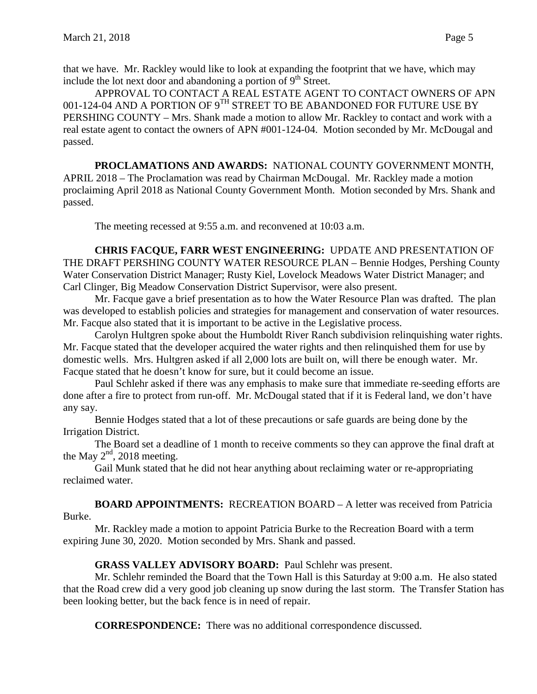that we have. Mr. Rackley would like to look at expanding the footprint that we have, which may include the lot next door and abandoning a portion of  $9<sup>th</sup>$  Street.

APPROVAL TO CONTACT A REAL ESTATE AGENT TO CONTACT OWNERS OF APN 001-124-04 AND A PORTION OF  $9^{TH}$  STREET TO BE ABANDONED FOR FUTURE USE BY PERSHING COUNTY – Mrs. Shank made a motion to allow Mr. Rackley to contact and work with a real estate agent to contact the owners of APN #001-124-04. Motion seconded by Mr. McDougal and passed.

**PROCLAMATIONS AND AWARDS:** NATIONAL COUNTY GOVERNMENT MONTH, APRIL 2018 – The Proclamation was read by Chairman McDougal. Mr. Rackley made a motion proclaiming April 2018 as National County Government Month. Motion seconded by Mrs. Shank and passed.

The meeting recessed at 9:55 a.m. and reconvened at 10:03 a.m.

**CHRIS FACQUE, FARR WEST ENGINEERING:** UPDATE AND PRESENTATION OF THE DRAFT PERSHING COUNTY WATER RESOURCE PLAN – Bennie Hodges, Pershing County Water Conservation District Manager; Rusty Kiel, Lovelock Meadows Water District Manager; and Carl Clinger, Big Meadow Conservation District Supervisor, were also present.

Mr. Facque gave a brief presentation as to how the Water Resource Plan was drafted. The plan was developed to establish policies and strategies for management and conservation of water resources. Mr. Facque also stated that it is important to be active in the Legislative process.

Carolyn Hultgren spoke about the Humboldt River Ranch subdivision relinquishing water rights. Mr. Facque stated that the developer acquired the water rights and then relinquished them for use by domestic wells. Mrs. Hultgren asked if all 2,000 lots are built on, will there be enough water. Mr. Facque stated that he doesn't know for sure, but it could become an issue.

Paul Schlehr asked if there was any emphasis to make sure that immediate re-seeding efforts are done after a fire to protect from run-off. Mr. McDougal stated that if it is Federal land, we don't have any say.

Bennie Hodges stated that a lot of these precautions or safe guards are being done by the Irrigation District.

The Board set a deadline of 1 month to receive comments so they can approve the final draft at the May  $2<sup>nd</sup>$ , 2018 meeting.

Gail Munk stated that he did not hear anything about reclaiming water or re-appropriating reclaimed water.

**BOARD APPOINTMENTS:** RECREATION BOARD – A letter was received from Patricia Burke.

Mr. Rackley made a motion to appoint Patricia Burke to the Recreation Board with a term expiring June 30, 2020. Motion seconded by Mrs. Shank and passed.

### **GRASS VALLEY ADVISORY BOARD:** Paul Schlehr was present.

Mr. Schlehr reminded the Board that the Town Hall is this Saturday at 9:00 a.m. He also stated that the Road crew did a very good job cleaning up snow during the last storm. The Transfer Station has been looking better, but the back fence is in need of repair.

**CORRESPONDENCE:** There was no additional correspondence discussed.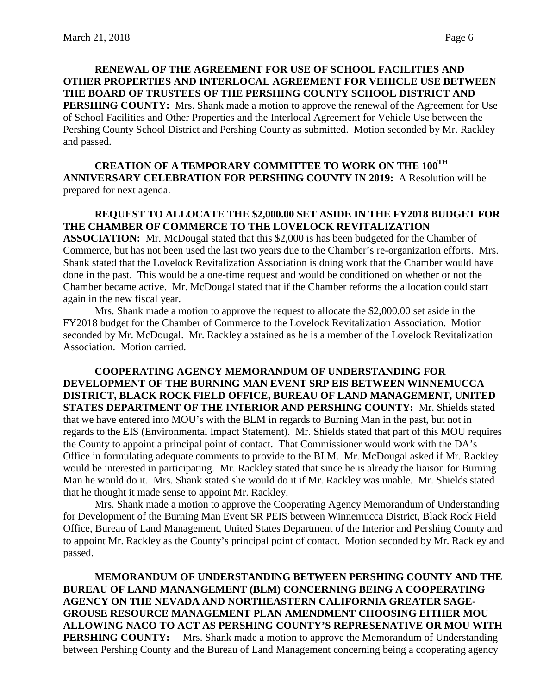**RENEWAL OF THE AGREEMENT FOR USE OF SCHOOL FACILITIES AND OTHER PROPERTIES AND INTERLOCAL AGREEMENT FOR VEHICLE USE BETWEEN THE BOARD OF TRUSTEES OF THE PERSHING COUNTY SCHOOL DISTRICT AND PERSHING COUNTY:** Mrs. Shank made a motion to approve the renewal of the Agreement for Use of School Facilities and Other Properties and the Interlocal Agreement for Vehicle Use between the Pershing County School District and Pershing County as submitted. Motion seconded by Mr. Rackley and passed.

**CREATION OF A TEMPORARY COMMITTEE TO WORK ON THE 100TH ANNIVERSARY CELEBRATION FOR PERSHING COUNTY IN 2019:** A Resolution will be prepared for next agenda.

## **REQUEST TO ALLOCATE THE \$2,000.00 SET ASIDE IN THE FY2018 BUDGET FOR THE CHAMBER OF COMMERCE TO THE LOVELOCK REVITALIZATION**

**ASSOCIATION:** Mr. McDougal stated that this \$2,000 is has been budgeted for the Chamber of Commerce, but has not been used the last two years due to the Chamber's re-organization efforts. Mrs. Shank stated that the Lovelock Revitalization Association is doing work that the Chamber would have done in the past. This would be a one-time request and would be conditioned on whether or not the Chamber became active. Mr. McDougal stated that if the Chamber reforms the allocation could start again in the new fiscal year.

Mrs. Shank made a motion to approve the request to allocate the \$2,000.00 set aside in the FY2018 budget for the Chamber of Commerce to the Lovelock Revitalization Association. Motion seconded by Mr. McDougal. Mr. Rackley abstained as he is a member of the Lovelock Revitalization Association. Motion carried.

**COOPERATING AGENCY MEMORANDUM OF UNDERSTANDING FOR DEVELOPMENT OF THE BURNING MAN EVENT SRP EIS BETWEEN WINNEMUCCA DISTRICT, BLACK ROCK FIELD OFFICE, BUREAU OF LAND MANAGEMENT, UNITED STATES DEPARTMENT OF THE INTERIOR AND PERSHING COUNTY:** Mr. Shields stated that we have entered into MOU's with the BLM in regards to Burning Man in the past, but not in regards to the EIS (Environmental Impact Statement). Mr. Shields stated that part of this MOU requires the County to appoint a principal point of contact. That Commissioner would work with the DA's Office in formulating adequate comments to provide to the BLM. Mr. McDougal asked if Mr. Rackley would be interested in participating. Mr. Rackley stated that since he is already the liaison for Burning Man he would do it. Mrs. Shank stated she would do it if Mr. Rackley was unable. Mr. Shields stated that he thought it made sense to appoint Mr. Rackley.

Mrs. Shank made a motion to approve the Cooperating Agency Memorandum of Understanding for Development of the Burning Man Event SR PEIS between Winnemucca District, Black Rock Field Office, Bureau of Land Management, United States Department of the Interior and Pershing County and to appoint Mr. Rackley as the County's principal point of contact. Motion seconded by Mr. Rackley and passed.

**MEMORANDUM OF UNDERSTANDING BETWEEN PERSHING COUNTY AND THE BUREAU OF LAND MANANGEMENT (BLM) CONCERNING BEING A COOPERATING AGENCY ON THE NEVADA AND NORTHEASTERN CALIFORNIA GREATER SAGE-GROUSE RESOURCE MANAGEMENT PLAN AMENDMENT CHOOSING EITHER MOU ALLOWING NACO TO ACT AS PERSHING COUNTY'S REPRESENATIVE OR MOU WITH PERSHING COUNTY:** Mrs. Shank made a motion to approve the Memorandum of Understanding between Pershing County and the Bureau of Land Management concerning being a cooperating agency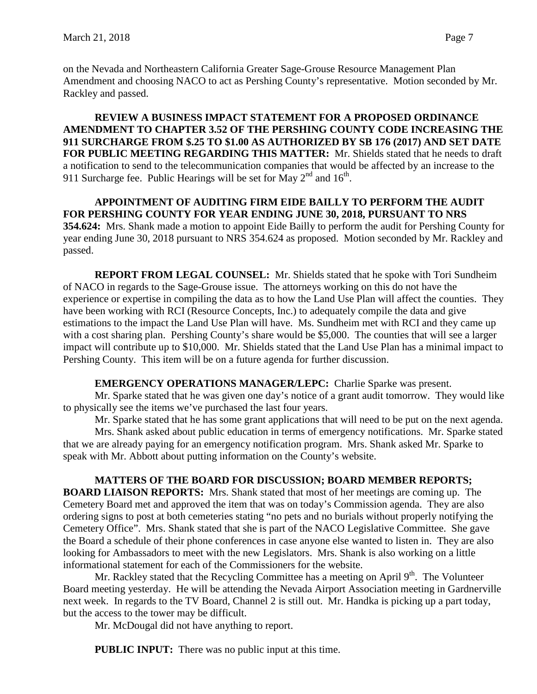on the Nevada and Northeastern California Greater Sage-Grouse Resource Management Plan Amendment and choosing NACO to act as Pershing County's representative. Motion seconded by Mr. Rackley and passed.

**REVIEW A BUSINESS IMPACT STATEMENT FOR A PROPOSED ORDINANCE AMENDMENT TO CHAPTER 3.52 OF THE PERSHING COUNTY CODE INCREASING THE 911 SURCHARGE FROM \$.25 TO \$1.00 AS AUTHORIZED BY SB 176 (2017) AND SET DATE FOR PUBLIC MEETING REGARDING THIS MATTER:** Mr. Shields stated that he needs to draft a notification to send to the telecommunication companies that would be affected by an increase to the 911 Surcharge fee. Public Hearings will be set for May  $2^{nd}$  and  $16^{th}$ .

**APPOINTMENT OF AUDITING FIRM EIDE BAILLY TO PERFORM THE AUDIT FOR PERSHING COUNTY FOR YEAR ENDING JUNE 30, 2018, PURSUANT TO NRS 354.624:** Mrs. Shank made a motion to appoint Eide Bailly to perform the audit for Pershing County for year ending June 30, 2018 pursuant to NRS 354.624 as proposed. Motion seconded by Mr. Rackley and passed.

**REPORT FROM LEGAL COUNSEL:** Mr. Shields stated that he spoke with Tori Sundheim of NACO in regards to the Sage-Grouse issue. The attorneys working on this do not have the experience or expertise in compiling the data as to how the Land Use Plan will affect the counties. They have been working with RCI (Resource Concepts, Inc.) to adequately compile the data and give estimations to the impact the Land Use Plan will have. Ms. Sundheim met with RCI and they came up with a cost sharing plan. Pershing County's share would be \$5,000. The counties that will see a larger impact will contribute up to \$10,000. Mr. Shields stated that the Land Use Plan has a minimal impact to Pershing County. This item will be on a future agenda for further discussion.

# **EMERGENCY OPERATIONS MANAGER/LEPC:** Charlie Sparke was present.

Mr. Sparke stated that he was given one day's notice of a grant audit tomorrow. They would like to physically see the items we've purchased the last four years.

Mr. Sparke stated that he has some grant applications that will need to be put on the next agenda.

Mrs. Shank asked about public education in terms of emergency notifications. Mr. Sparke stated that we are already paying for an emergency notification program. Mrs. Shank asked Mr. Sparke to speak with Mr. Abbott about putting information on the County's website.

# **MATTERS OF THE BOARD FOR DISCUSSION; BOARD MEMBER REPORTS;**

**BOARD LIAISON REPORTS:** Mrs. Shank stated that most of her meetings are coming up. The Cemetery Board met and approved the item that was on today's Commission agenda. They are also ordering signs to post at both cemeteries stating "no pets and no burials without properly notifying the Cemetery Office". Mrs. Shank stated that she is part of the NACO Legislative Committee. She gave the Board a schedule of their phone conferences in case anyone else wanted to listen in. They are also looking for Ambassadors to meet with the new Legislators. Mrs. Shank is also working on a little informational statement for each of the Commissioners for the website.

Mr. Rackley stated that the Recycling Committee has a meeting on April  $9<sup>th</sup>$ . The Volunteer Board meeting yesterday. He will be attending the Nevada Airport Association meeting in Gardnerville next week. In regards to the TV Board, Channel 2 is still out. Mr. Handka is picking up a part today, but the access to the tower may be difficult.

Mr. McDougal did not have anything to report.

**PUBLIC INPUT:** There was no public input at this time.